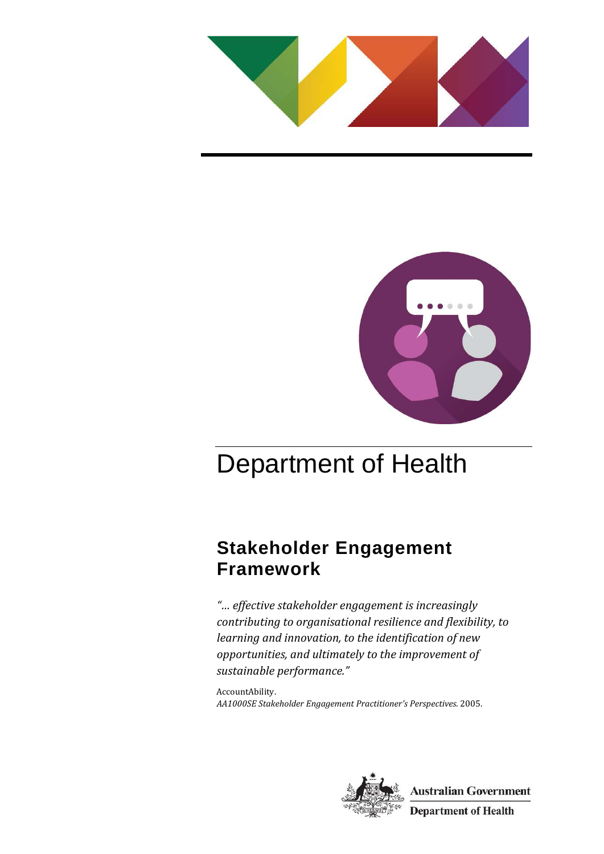



### Department of Health

### **Stakeholder Engagement Framework**

*"… effective stakeholder engagement is increasingly contributing to organisational resilience and flexibility, to learning and innovation, to the identification of new opportunities, and ultimately to the improvement of sustainable performance."*

AccountAbility. *AA1000SE Stakeholder Engagement Practitioner's Perspectives.* 2005.

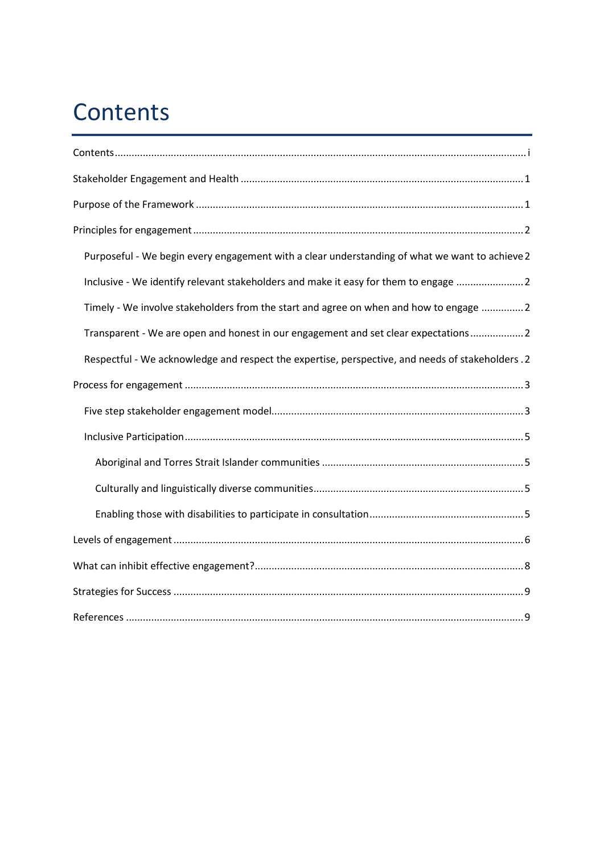# <span id="page-1-0"></span>**Contents**

| Purposeful - We begin every engagement with a clear understanding of what we want to achieve 2    |
|---------------------------------------------------------------------------------------------------|
| Inclusive - We identify relevant stakeholders and make it easy for them to engage 2               |
| Timely - We involve stakeholders from the start and agree on when and how to engage  2            |
| Transparent - We are open and honest in our engagement and set clear expectations 2               |
| Respectful - We acknowledge and respect the expertise, perspective, and needs of stakeholders . 2 |
|                                                                                                   |
|                                                                                                   |
|                                                                                                   |
|                                                                                                   |
|                                                                                                   |
|                                                                                                   |
|                                                                                                   |
|                                                                                                   |
|                                                                                                   |
|                                                                                                   |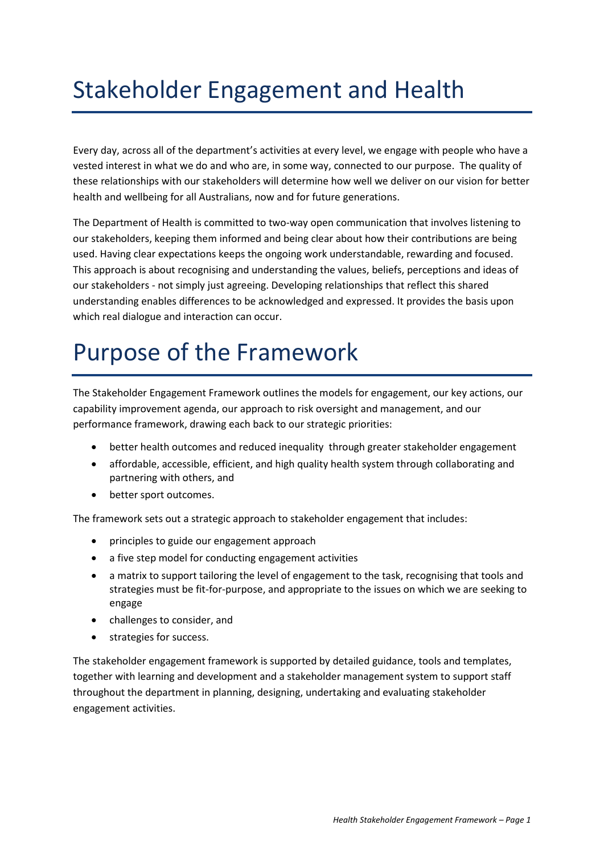### <span id="page-2-0"></span>Stakeholder Engagement and Health

Every day, across all of the department's activities at every level, we engage with people who have a vested interest in what we do and who are, in some way, connected to our purpose. The quality of these relationships with our stakeholders will determine how well we deliver on our vision for better health and wellbeing for all Australians, now and for future generations.

The Department of Health is committed to two-way open communication that involves listening to our stakeholders, keeping them informed and being clear about how their contributions are being used. Having clear expectations keeps the ongoing work understandable, rewarding and focused. This approach is about recognising and understanding the values, beliefs, perceptions and ideas of our stakeholders - not simply just agreeing. Developing relationships that reflect this shared understanding enables differences to be acknowledged and expressed. It provides the basis upon which real dialogue and interaction can occur.

### <span id="page-2-1"></span>Purpose of the Framework

The Stakeholder Engagement Framework outlines the models for engagement, our key actions, our capability improvement agenda, our approach to risk oversight and management, and our performance framework, drawing each back to our strategic priorities:

- better health outcomes and reduced inequality through greater stakeholder engagement
- affordable, accessible, efficient, and high quality health system through collaborating and partnering with others, and
- better sport outcomes.

The framework sets out a strategic approach to stakeholder engagement that includes:

- principles to guide our engagement approach
- a five step model for conducting engagement activities
- a matrix to support tailoring the level of engagement to the task, recognising that tools and strategies must be fit-for-purpose, and appropriate to the issues on which we are seeking to engage
- challenges to consider, and
- strategies for success.

The stakeholder engagement framework is supported by detailed guidance, tools and templates, together with learning and development and a stakeholder management system to support staff throughout the department in planning, designing, undertaking and evaluating stakeholder engagement activities.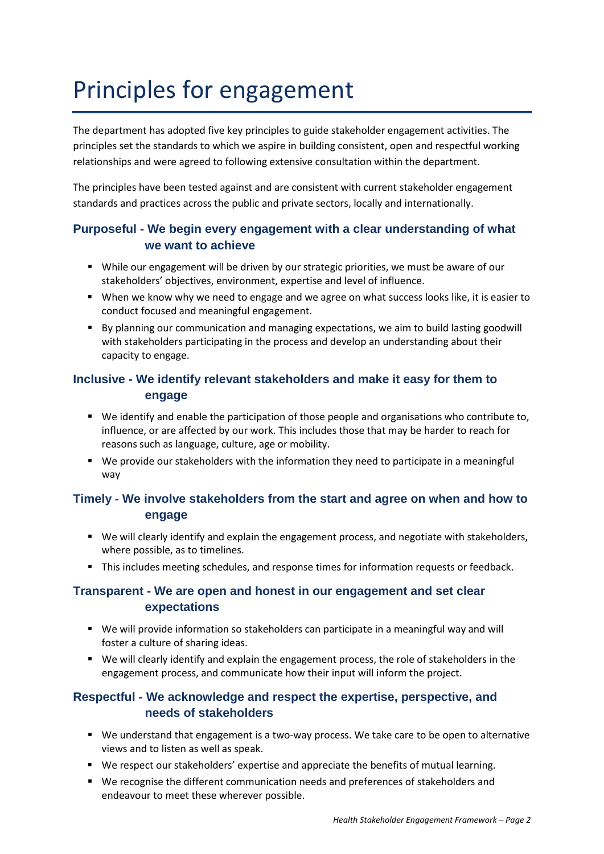# <span id="page-3-0"></span>Principles for engagement

The department has adopted five key principles to guide stakeholder engagement activities. The principles set the standards to which we aspire in building consistent, open and respectful working relationships and were agreed to following extensive consultation within the department.

The principles have been tested against and are consistent with current stakeholder engagement standards and practices across the public and private sectors, locally and internationally.

#### <span id="page-3-1"></span>**Purposeful - We begin every engagement with a clear understanding of what we want to achieve**

- While our engagement will be driven by our strategic priorities, we must be aware of our stakeholders' objectives, environment, expertise and level of influence.
- When we know why we need to engage and we agree on what success looks like, it is easier to conduct focused and meaningful engagement.
- By planning our communication and managing expectations, we aim to build lasting goodwill with stakeholders participating in the process and develop an understanding about their capacity to engage.

### <span id="page-3-2"></span>**Inclusive - We identify relevant stakeholders and make it easy for them to engage**

- We identify and enable the participation of those people and organisations who contribute to, influence, or are affected by our work. This includes those that may be harder to reach for reasons such as language, culture, age or mobility.
- We provide our stakeholders with the information they need to participate in a meaningful way

### <span id="page-3-3"></span>**Timely - We involve stakeholders from the start and agree on when and how to engage**

- We will clearly identify and explain the engagement process, and negotiate with stakeholders, where possible, as to timelines.
- This includes meeting schedules, and response times for information requests or feedback.

#### <span id="page-3-4"></span>**Transparent - We are open and honest in our engagement and set clear expectations**

- We will provide information so stakeholders can participate in a meaningful way and will foster a culture of sharing ideas.
- We will clearly identify and explain the engagement process, the role of stakeholders in the engagement process, and communicate how their input will inform the project.

### <span id="page-3-5"></span>**Respectful - We acknowledge and respect the expertise, perspective, and needs of stakeholders**

- We understand that engagement is a two-way process. We take care to be open to alternative views and to listen as well as speak.
- We respect our stakeholders' expertise and appreciate the benefits of mutual learning.
- We recognise the different communication needs and preferences of stakeholders and endeavour to meet these wherever possible.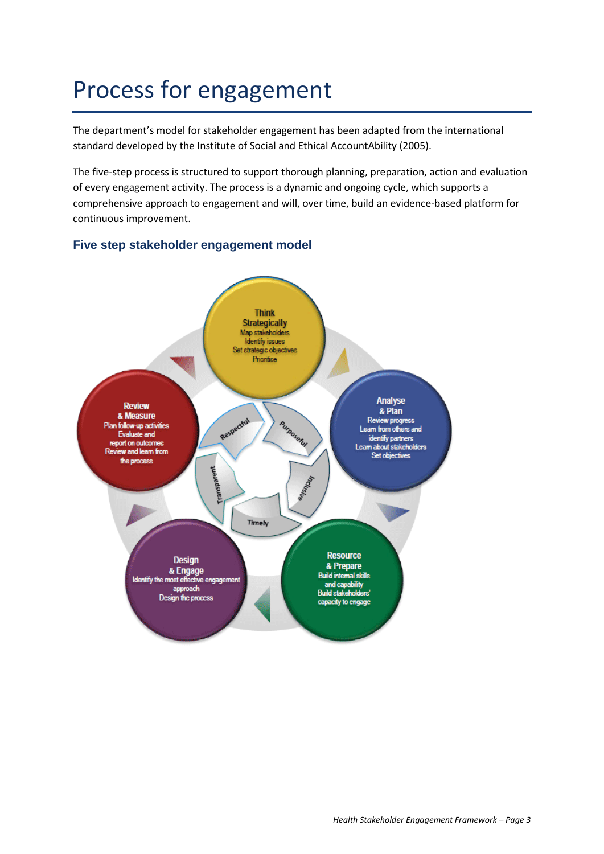### <span id="page-4-0"></span>Process for engagement

The department's model for stakeholder engagement has been adapted from the international standard developed by the Institute of Social and Ethical AccountAbility (2005).

The five-step process is structured to support thorough planning, preparation, action and evaluation of every engagement activity. The process is a dynamic and ongoing cycle, which supports a comprehensive approach to engagement and will, over time, build an evidence-based platform for continuous improvement.

#### <span id="page-4-1"></span>**Five step stakeholder engagement model**

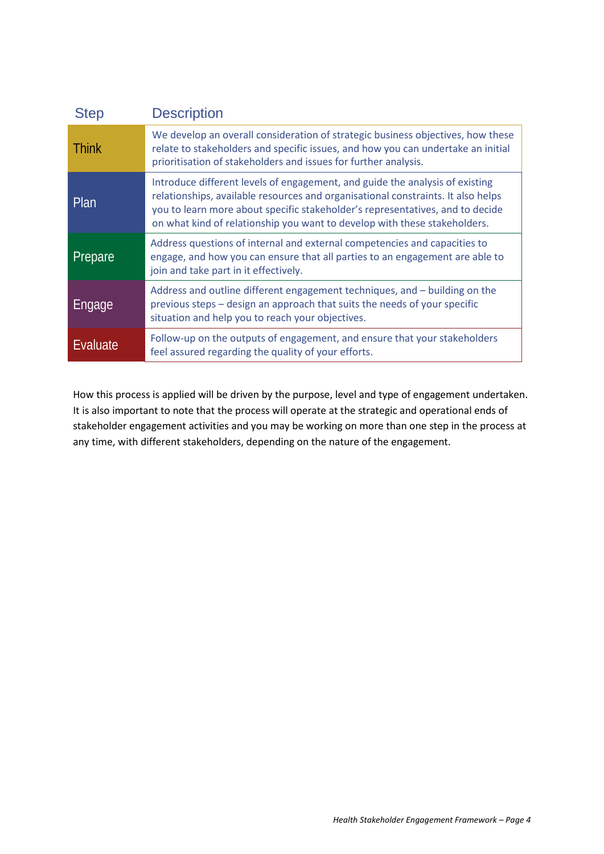| <b>Step</b>  | <b>Description</b>                                                                                                                                                                                                                                                                                                             |
|--------------|--------------------------------------------------------------------------------------------------------------------------------------------------------------------------------------------------------------------------------------------------------------------------------------------------------------------------------|
| <b>Think</b> | We develop an overall consideration of strategic business objectives, how these<br>relate to stakeholders and specific issues, and how you can undertake an initial<br>prioritisation of stakeholders and issues for further analysis.                                                                                         |
| Plan         | Introduce different levels of engagement, and guide the analysis of existing<br>relationships, available resources and organisational constraints. It also helps<br>you to learn more about specific stakeholder's representatives, and to decide<br>on what kind of relationship you want to develop with these stakeholders. |
| Prepare      | Address questions of internal and external competencies and capacities to<br>engage, and how you can ensure that all parties to an engagement are able to<br>join and take part in it effectively.                                                                                                                             |
| Engage       | Address and outline different engagement techniques, and - building on the<br>previous steps - design an approach that suits the needs of your specific<br>situation and help you to reach your objectives.                                                                                                                    |
| Evaluate     | Follow-up on the outputs of engagement, and ensure that your stakeholders<br>feel assured regarding the quality of your efforts.                                                                                                                                                                                               |

How this process is applied will be driven by the purpose, level and type of engagement undertaken. It is also important to note that the process will operate at the strategic and operational ends of stakeholder engagement activities and you may be working on more than one step in the process at any time, with different stakeholders, depending on the nature of the engagement.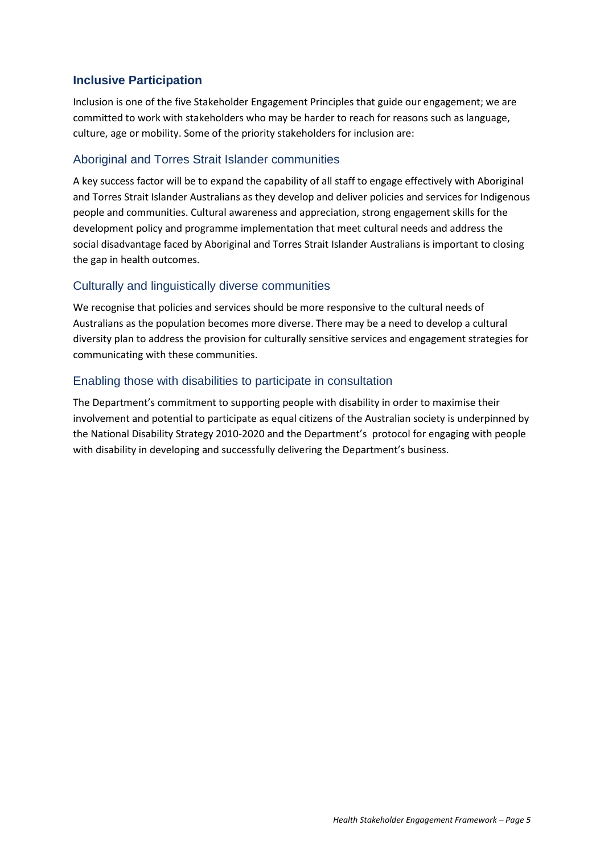#### <span id="page-6-0"></span>**Inclusive Participation**

Inclusion is one of the five Stakeholder Engagement Principles that guide our engagement; we are committed to work with stakeholders who may be harder to reach for reasons such as language, culture, age or mobility. Some of the priority stakeholders for inclusion are:

#### <span id="page-6-1"></span>Aboriginal and Torres Strait Islander communities

A key success factor will be to expand the capability of all staff to engage effectively with Aboriginal and Torres Strait Islander Australians as they develop and deliver policies and services for Indigenous people and communities. Cultural awareness and appreciation, strong engagement skills for the development policy and programme implementation that meet cultural needs and address the social disadvantage faced by Aboriginal and Torres Strait Islander Australians is important to closing the gap in health outcomes.

#### <span id="page-6-2"></span>Culturally and linguistically diverse communities

We recognise that policies and services should be more responsive to the cultural needs of Australians as the population becomes more diverse. There may be a need to develop a cultural diversity plan to address the provision for culturally sensitive services and engagement strategies for communicating with these communities.

#### <span id="page-6-3"></span>Enabling those with disabilities to participate in consultation

The Department's commitment to supporting people with disability in order to maximise their involvement and potential to participate as equal citizens of the Australian society is underpinned by the National Disability Strategy 2010-2020 and the Department's protocol for engaging with people with disability in developing and successfully delivering the Department's business.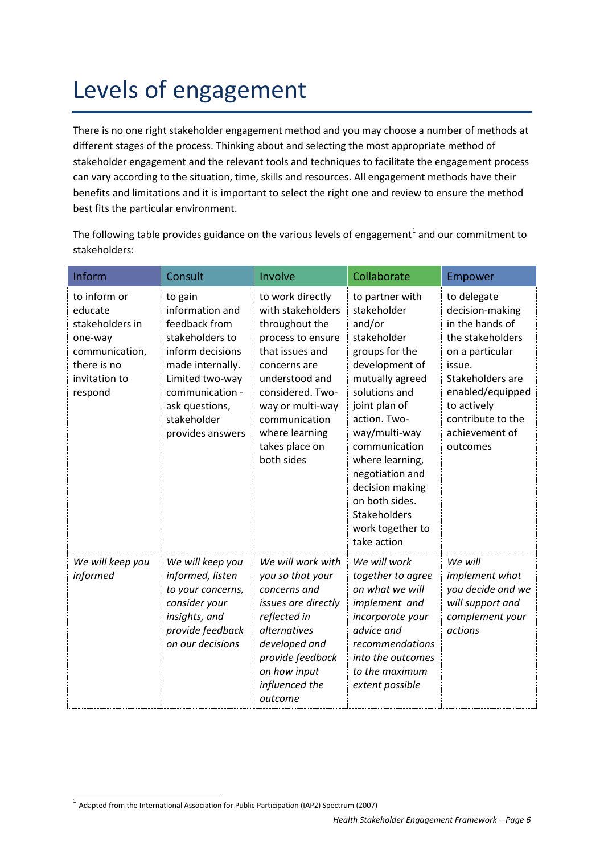# <span id="page-7-0"></span>Levels of engagement

There is no one right stakeholder engagement method and you may choose a number of methods at different stages of the process. Thinking about and selecting the most appropriate method of stakeholder engagement and the relevant tools and techniques to facilitate the engagement process can vary according to the situation, time, skills and resources. All engagement methods have their benefits and limitations and it is important to select the right one and review to ensure the method best fits the particular environment.

The following table provides guidance on the various levels of engagement<sup>[1](#page-7-1)</sup> and our commitment to stakeholders:

| Inform                                                                                                             | Consult                                                                                                                                                                                           | Involve                                                                                                                                                                                                                                      | Collaborate                                                                                                                                                                                                                                                                                                                             | Empower                                                                                                                                                                                                      |
|--------------------------------------------------------------------------------------------------------------------|---------------------------------------------------------------------------------------------------------------------------------------------------------------------------------------------------|----------------------------------------------------------------------------------------------------------------------------------------------------------------------------------------------------------------------------------------------|-----------------------------------------------------------------------------------------------------------------------------------------------------------------------------------------------------------------------------------------------------------------------------------------------------------------------------------------|--------------------------------------------------------------------------------------------------------------------------------------------------------------------------------------------------------------|
| to inform or<br>educate<br>stakeholders in<br>one-way<br>communication,<br>there is no<br>invitation to<br>respond | to gain<br>information and<br>feedback from<br>stakeholders to<br>inform decisions<br>made internally.<br>Limited two-way<br>communication -<br>ask questions,<br>stakeholder<br>provides answers | to work directly<br>with stakeholders<br>throughout the<br>process to ensure<br>that issues and<br>concerns are<br>understood and<br>considered. Two-<br>way or multi-way<br>communication<br>where learning<br>takes place on<br>both sides | to partner with<br>stakeholder<br>and/or<br>stakeholder<br>groups for the<br>development of<br>mutually agreed<br>solutions and<br>joint plan of<br>action. Two-<br>way/multi-way<br>communication<br>where learning,<br>negotiation and<br>decision making<br>on both sides.<br><b>Stakeholders</b><br>work together to<br>take action | to delegate<br>decision-making<br>in the hands of<br>the stakeholders<br>on a particular<br>issue.<br>Stakeholders are<br>enabled/equipped<br>to actively<br>contribute to the<br>achievement of<br>outcomes |
| We will keep you<br>informed                                                                                       | We will keep you<br>informed, listen<br>to your concerns,<br>consider your<br>insights, and<br>provide feedback<br>on our decisions                                                               | We will work with<br>you so that your<br>concerns and<br>issues are directly<br>reflected in<br>alternatives<br>developed and<br>provide feedback<br>on how input<br>influenced the<br>outcome                                               | We will work<br>together to agree<br>on what we will<br>implement and<br>incorporate your<br>advice and<br>recommendations<br>into the outcomes<br>to the maximum<br>extent possible                                                                                                                                                    | We will<br>implement what<br>you decide and we<br>will support and<br>complement your<br>actions                                                                                                             |

**.** 

<span id="page-7-1"></span> $<sup>1</sup>$  Adapted from the International Association for Public Participation (IAP2) Spectrum (2007)</sup>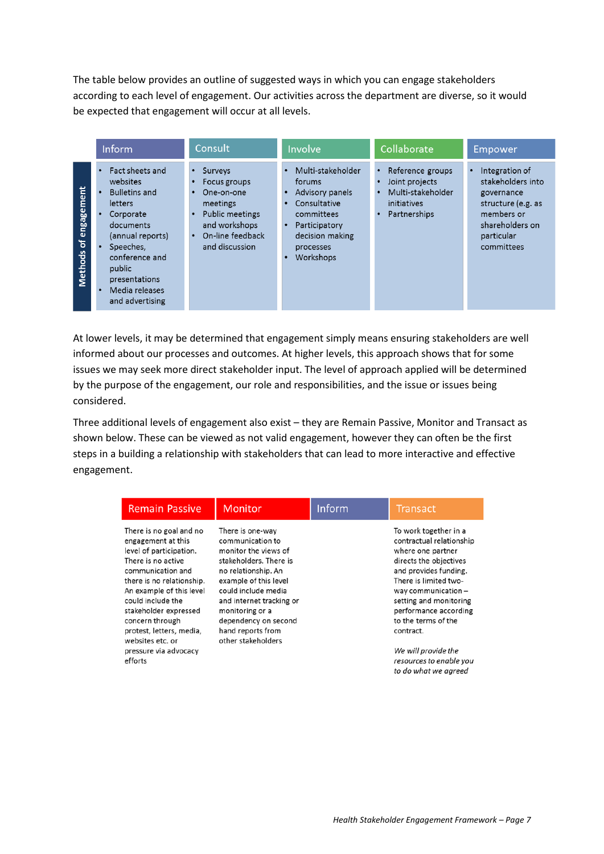The table below provides an outline of suggested ways in which you can engage stakeholders according to each level of engagement. Our activities across the department are diverse, so it would be expected that engagement will occur at all levels.

|                       | Inform                                                                                                                                                                                                      | Consult                                                                                                                                               | Involve                                                                                                                                    | Collaborate                                                                                                           | Empower                                                                                                                              |
|-----------------------|-------------------------------------------------------------------------------------------------------------------------------------------------------------------------------------------------------------|-------------------------------------------------------------------------------------------------------------------------------------------------------|--------------------------------------------------------------------------------------------------------------------------------------------|-----------------------------------------------------------------------------------------------------------------------|--------------------------------------------------------------------------------------------------------------------------------------|
| Methods of engagement | Fact sheets and<br>websites<br><b>Bulletins and</b><br>letters<br>Corporate<br>documents<br>(annual reports)<br>Speeches,<br>conference and<br>public<br>presentations<br>Media releases<br>and advertising | Surveys<br>Focus groups<br>One-on-one<br>meetings<br>Public meetings<br>$\bullet$<br>and workshops<br>On-line feedback<br>$\bullet$<br>and discussion | Multi-stakeholder<br>forums<br>Advisory panels<br>Consultative<br>committees<br>Participatory<br>decision making<br>processes<br>Workshops | Reference groups<br>$\bullet$<br>Joint projects<br>٠<br>Multi-stakeholder<br>initiatives<br>Partnerships<br>$\bullet$ | Integration of<br>stakeholders into<br>governance<br>structure (e.g. as<br>members or<br>shareholders on<br>particular<br>committees |

At lower levels, it may be determined that engagement simply means ensuring stakeholders are well informed about our processes and outcomes. At higher levels, this approach shows that for some issues we may seek more direct stakeholder input. The level of approach applied will be determined by the purpose of the engagement, our role and responsibilities, and the issue or issues being considered.

Three additional levels of engagement also exist – they are Remain Passive, Monitor and Transact as shown below. These can be viewed as not valid engagement, however they can often be the first steps in a building a relationship with stakeholders that can lead to more interactive and effective engagement.

| <b>Remain Passive</b>                                                                                                                                                                                                                                                                                                             | <b>Monitor</b>                                                                                                                                                                                                                                                                  | Inform | <b>Transact</b>                                                                                                                                                                                                                                                                                                                              |
|-----------------------------------------------------------------------------------------------------------------------------------------------------------------------------------------------------------------------------------------------------------------------------------------------------------------------------------|---------------------------------------------------------------------------------------------------------------------------------------------------------------------------------------------------------------------------------------------------------------------------------|--------|----------------------------------------------------------------------------------------------------------------------------------------------------------------------------------------------------------------------------------------------------------------------------------------------------------------------------------------------|
| There is no goal and no<br>engagement at this<br>level of participation.<br>There is no active<br>communication and<br>there is no relationship.<br>An example of this level<br>could include the<br>stakeholder expressed<br>concern through<br>protest, letters, media,<br>websites etc. or<br>pressure via advocacy<br>efforts | There is one-way<br>communication to<br>monitor the views of<br>stakeholders. There is<br>no relationship. An<br>example of this level<br>could include media<br>and internet tracking or<br>monitoring or a<br>dependency on second<br>hand reports from<br>other stakeholders |        | To work together in a<br>contractual relationship<br>where one partner<br>directs the objectives<br>and provides funding.<br>There is limited two-<br>way communication $-$<br>setting and monitoring<br>performance according<br>to the terms of the<br>contract.<br>We will provide the<br>resources to enable you<br>to do what we agreed |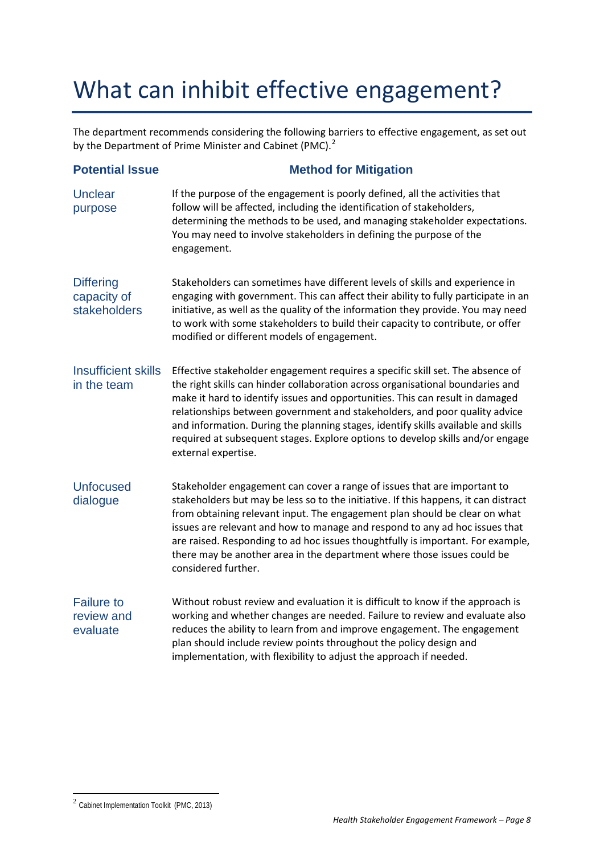# <span id="page-9-0"></span>What can inhibit effective engagement?

The department recommends considering the following barriers to effective engagement, as set out by the Department of Prime Minister and Cabinet (PMC).<sup>[2](#page-9-1)</sup>

| <b>Potential Issue</b>                          | <b>Method for Mitigation</b>                                                                                                                                                                                                                                                                                                                                                                                                                                                                                                  |
|-------------------------------------------------|-------------------------------------------------------------------------------------------------------------------------------------------------------------------------------------------------------------------------------------------------------------------------------------------------------------------------------------------------------------------------------------------------------------------------------------------------------------------------------------------------------------------------------|
| <b>Unclear</b><br>purpose                       | If the purpose of the engagement is poorly defined, all the activities that<br>follow will be affected, including the identification of stakeholders,<br>determining the methods to be used, and managing stakeholder expectations.<br>You may need to involve stakeholders in defining the purpose of the<br>engagement.                                                                                                                                                                                                     |
| <b>Differing</b><br>capacity of<br>stakeholders | Stakeholders can sometimes have different levels of skills and experience in<br>engaging with government. This can affect their ability to fully participate in an<br>initiative, as well as the quality of the information they provide. You may need<br>to work with some stakeholders to build their capacity to contribute, or offer<br>modified or different models of engagement.                                                                                                                                       |
| <b>Insufficient skills</b><br>in the team       | Effective stakeholder engagement requires a specific skill set. The absence of<br>the right skills can hinder collaboration across organisational boundaries and<br>make it hard to identify issues and opportunities. This can result in damaged<br>relationships between government and stakeholders, and poor quality advice<br>and information. During the planning stages, identify skills available and skills<br>required at subsequent stages. Explore options to develop skills and/or engage<br>external expertise. |
| <b>Unfocused</b><br>dialogue                    | Stakeholder engagement can cover a range of issues that are important to<br>stakeholders but may be less so to the initiative. If this happens, it can distract<br>from obtaining relevant input. The engagement plan should be clear on what<br>issues are relevant and how to manage and respond to any ad hoc issues that<br>are raised. Responding to ad hoc issues thoughtfully is important. For example,<br>there may be another area in the department where those issues could be<br>considered further.             |
| <b>Failure to</b><br>review and<br>evaluate     | Without robust review and evaluation it is difficult to know if the approach is<br>working and whether changes are needed. Failure to review and evaluate also<br>reduces the ability to learn from and improve engagement. The engagement<br>plan should include review points throughout the policy design and<br>implementation, with flexibility to adjust the approach if needed.                                                                                                                                        |

**.** 

<span id="page-9-1"></span> $2$  Cabinet Implementation Toolkit (PMC, 2013)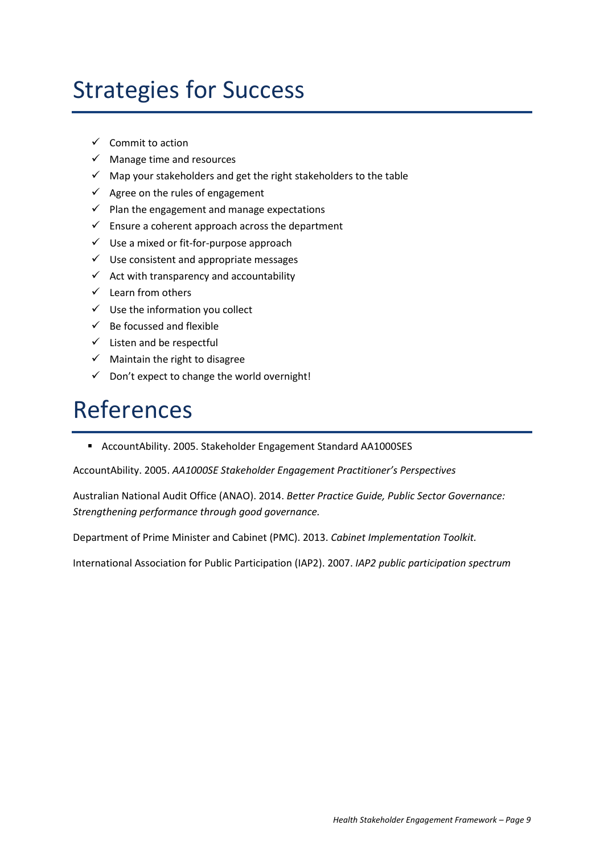### <span id="page-10-0"></span>Strategies for Success

- $\checkmark$  Commit to action
- $\checkmark$  Manage time and resources
- $\checkmark$  Map your stakeholders and get the right stakeholders to the table
- $\checkmark$  Agree on the rules of engagement
- $\checkmark$  Plan the engagement and manage expectations
- $\checkmark$  Ensure a coherent approach across the department
- $\checkmark$  Use a mixed or fit-for-purpose approach
- $\checkmark$  Use consistent and appropriate messages
- $\checkmark$  Act with transparency and accountability
- $\checkmark$  Learn from others
- $\checkmark$  Use the information you collect
- $\checkmark$  Be focussed and flexible
- $\checkmark$  Listen and be respectful
- $\checkmark$  Maintain the right to disagree
- $\checkmark$  Don't expect to change the world overnight!

### <span id="page-10-1"></span>References

AccountAbility. 2005. Stakeholder Engagement Standard AA1000SES

AccountAbility. 2005. *AA1000SE Stakeholder Engagement Practitioner's Perspectives*

Australian National Audit Office (ANAO). 2014. *Better Practice Guide, Public Sector Governance: Strengthening performance through good governance.*

Department of Prime Minister and Cabinet (PMC). 2013. *Cabinet Implementation Toolkit.*

International Association for Public Participation (IAP2). 2007. *IAP2 public participation spectrum*